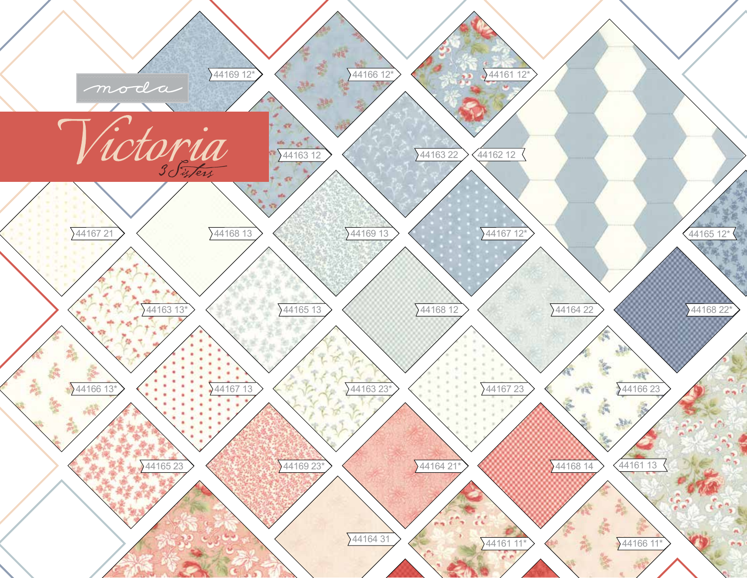